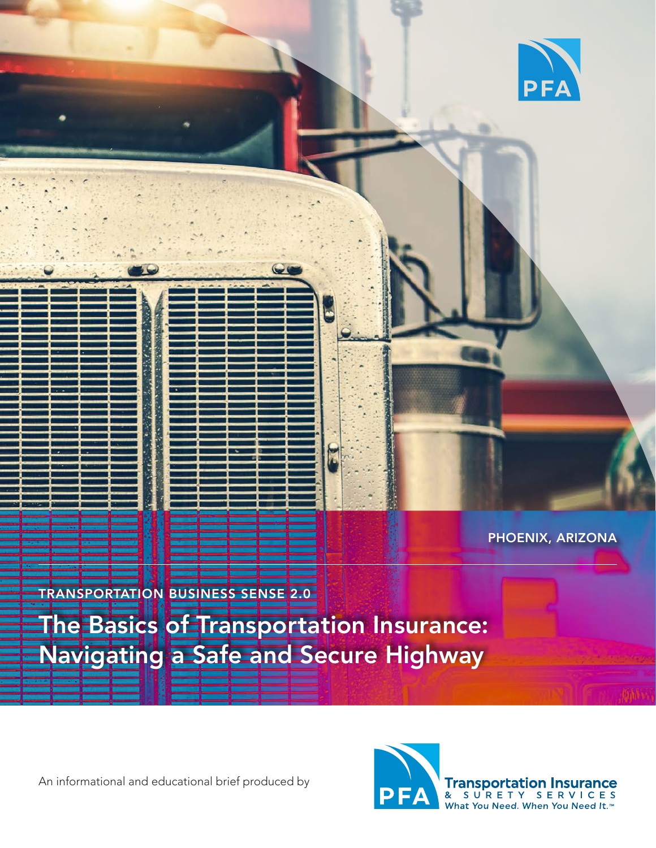

PHOENIX, ARIZONA

TRANSPORTATION BUSINESS SENSE 2.0

The Basics of Transportation Insurance: Navigating a Safe and Secure Highway

An informational and educational brief produced by



**Transportation Insurance**<br>& SURETY SERVICES<br>What You Need. When You Need It.<sup>70</sup>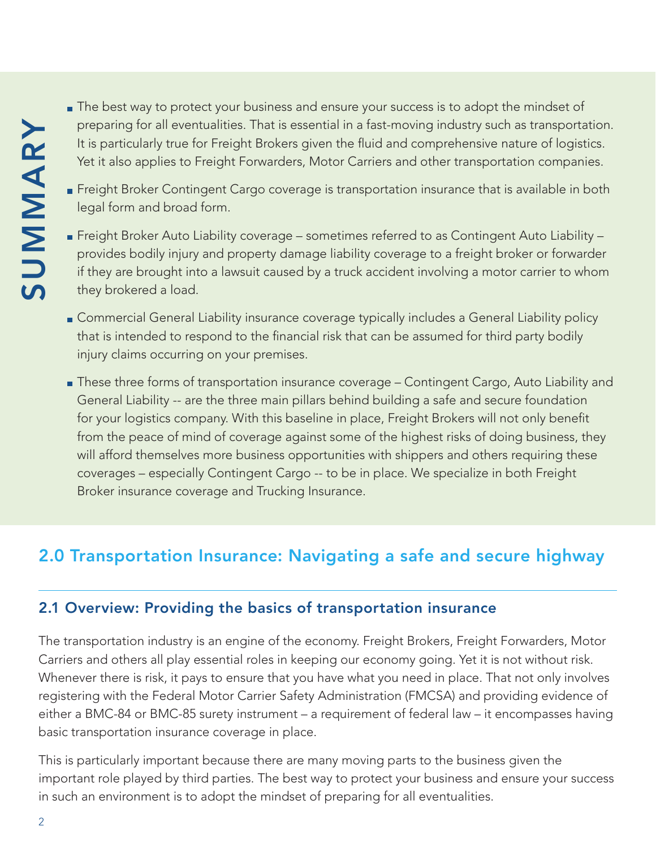- **The best way to protect your business and ensure your success is to adopt the mindset of** preparing for all eventualities. That is essential in a fast-moving industry such as transportation. It is particularly true for Freight Brokers given the fluid and comprehensive nature of logistics. Yet it also applies to Freight Forwarders, Motor Carriers and other transportation companies.
- Freight Broker Contingent Cargo coverage is transportation insurance that is available in both legal form and broad form.
- Freight Broker Auto Liability coverage sometimes referred to as Contingent Auto Liability provides bodily injury and property damage liability coverage to a freight broker or forwarder if they are brought into a lawsuit caused by a truck accident involving a motor carrier to whom they brokered a load.
- **Commercial General Liability insurance coverage typically includes a General Liability policy**  that is intended to respond to the financial risk that can be assumed for third party bodily injury claims occurring on your premises.
- These three forms of transportation insurance coverage Contingent Cargo, Auto Liability and General Liability -- are the three main pillars behind building a safe and secure foundation for your logistics company. With this baseline in place, Freight Brokers will not only benefit from the peace of mind of coverage against some of the highest risks of doing business, they will afford themselves more business opportunities with shippers and others requiring these coverages – especially Contingent Cargo -- to be in place. We specialize in both Freight Broker insurance coverage and Trucking Insurance. <p>\n<b>Definition</b> for all eventualities. That is essential in a fastromoving induction in the <i>in</i> frequency, the target distribution for the <i>in</i> frequency, and the <i>in</i> frequency, the <i>in</i> frequency, the <i>in</i> frequency, the <i>in</i> frequency, the <i>in</i> frequency, the <i>in</i> frequency, the <i>in</i> frequency, the <i>in</i> frequency, the <i>in</i> frequency, the <i>in</i> frequency, the <i>in</i> frequency, the <i>in</i> frequency, the <i>in</i> frequency, the <i>in</i> frequency, the <i>in</i> frequency, the <i>in</i> frequency, the <i>in</i> frequency, the

# 2.0 Transportation Insurance: Navigating a safe and secure highway

### 2.1 Overview: Providing the basics of transportation insurance

The transportation industry is an engine of the economy. Freight Brokers, Freight Forwarders, Motor Carriers and others all play essential roles in keeping our economy going. Yet it is not without risk. Whenever there is risk, it pays to ensure that you have what you need in place. That not only involves registering with the Federal Motor Carrier Safety Administration (FMCSA) and providing evidence of either a BMC-84 or BMC-85 surety instrument – a requirement of federal law – it encompasses having basic transportation insurance coverage in place.

This is particularly important because there are many moving parts to the business given the important role played by third parties. The best way to protect your business and ensure your success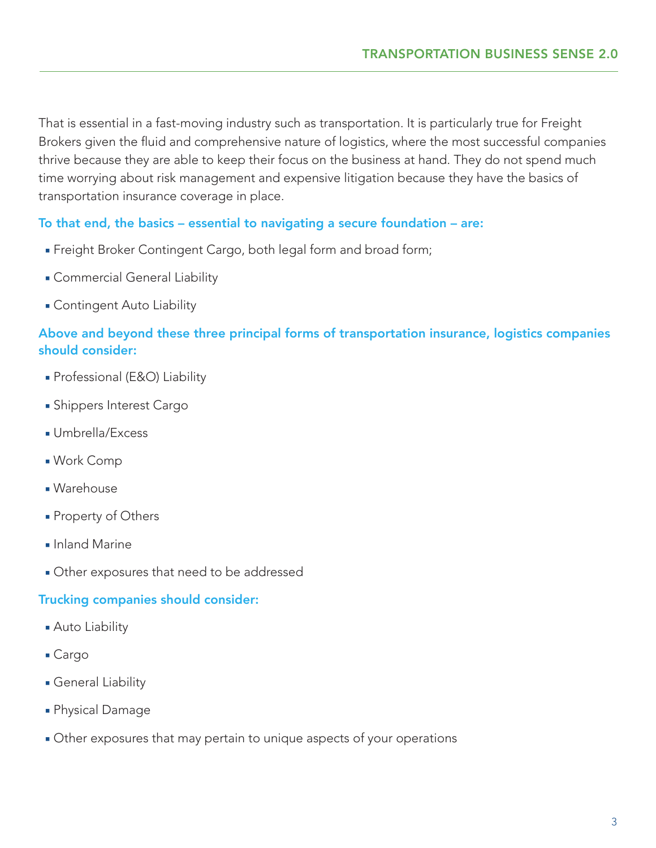That is essential in a fast-moving industry such as transportation. It is particularly true for Freight Brokers given the fluid and comprehensive nature of logistics, where the most successful companies thrive because they are able to keep their focus on the business at hand. They do not spend much time worrying about risk management and expensive litigation because they have the basics of transportation insurance coverage in place.

#### To that end, the basics – essential to navigating a secure foundation – are:

- Freight Broker Contingent Cargo, both legal form and broad form;
- Commercial General Liability
- Contingent Auto Liability

### Above and beyond these three principal forms of transportation insurance, logistics companies should consider:

- Professional (E&O) Liability
- Shippers Interest Cargo
- Umbrella/Excess
- Work Comp
- Warehouse
- Property of Others
- Inland Marine
- Other exposures that need to be addressed

#### Trucking companies should consider:

- Auto Liability
- Cargo
- General Liability
- Physical Damage
- Other exposures that may pertain to unique aspects of your operations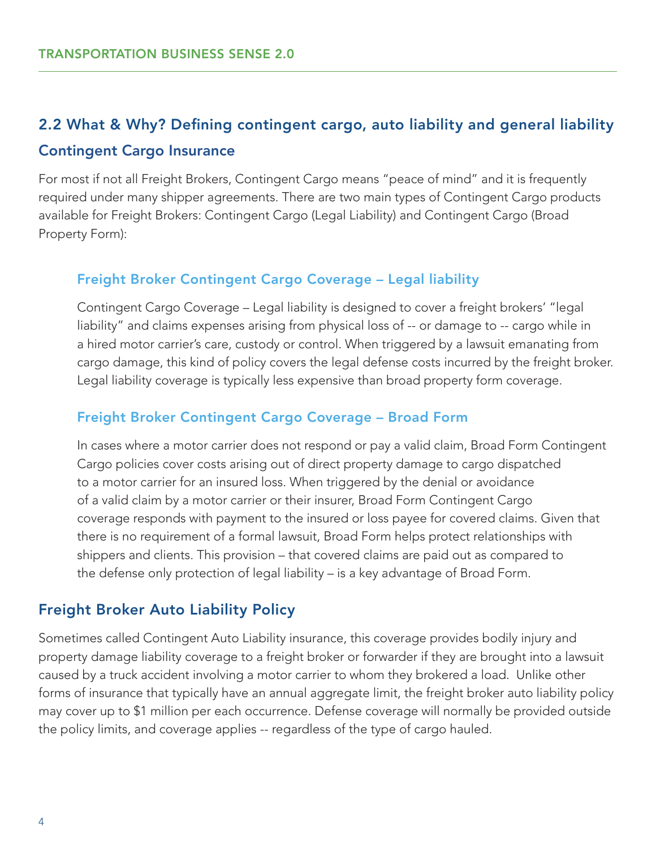# 2.2 What & Why? Defining contingent cargo, auto liability and general liability Contingent Cargo Insurance

For most if not all Freight Brokers, Contingent Cargo means "peace of mind" and it is frequently required under many shipper agreements. There are two main types of Contingent Cargo products available for Freight Brokers: Contingent Cargo (Legal Liability) and Contingent Cargo (Broad Property Form):

#### Freight Broker Contingent Cargo Coverage – Legal liability

Contingent Cargo Coverage – Legal liability is designed to cover a freight brokers' "legal liability" and claims expenses arising from physical loss of -- or damage to -- cargo while in a hired motor carrier's care, custody or control. When triggered by a lawsuit emanating from cargo damage, this kind of policy covers the legal defense costs incurred by the freight broker. Legal liability coverage is typically less expensive than broad property form coverage.

#### Freight Broker Contingent Cargo Coverage – Broad Form

In cases where a motor carrier does not respond or pay a valid claim, Broad Form Contingent Cargo policies cover costs arising out of direct property damage to cargo dispatched to a motor carrier for an insured loss. When triggered by the denial or avoidance of a valid claim by a motor carrier or their insurer, Broad Form Contingent Cargo coverage responds with payment to the insured or loss payee for covered claims. Given that there is no requirement of a formal lawsuit, Broad Form helps protect relationships with shippers and clients. This provision – that covered claims are paid out as compared to the defense only protection of legal liability – is a key advantage of Broad Form.

#### Freight Broker Auto Liability Policy

Sometimes called Contingent Auto Liability insurance, this coverage provides bodily injury and property damage liability coverage to a freight broker or forwarder if they are brought into a lawsuit caused by a truck accident involving a motor carrier to whom they brokered a load. Unlike other forms of insurance that typically have an annual aggregate limit, the freight broker auto liability policy may cover up to \$1 million per each occurrence. Defense coverage will normally be provided outside the policy limits, and coverage applies -- regardless of the type of cargo hauled.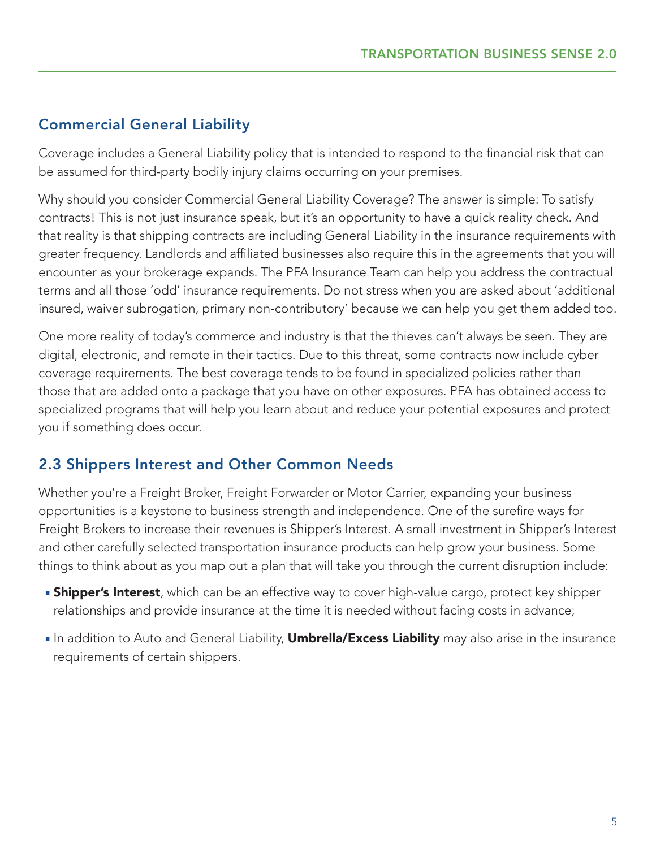## Commercial General Liability

Coverage includes a General Liability policy that is intended to respond to the financial risk that can be assumed for third-party bodily injury claims occurring on your premises.

Why should you consider Commercial General Liability Coverage? The answer is simple: To satisfy contracts! This is not just insurance speak, but it's an opportunity to have a quick reality check. And that reality is that shipping contracts are including General Liability in the insurance requirements with greater frequency. Landlords and affiliated businesses also require this in the agreements that you will encounter as your brokerage expands. The PFA Insurance Team can help you address the contractual terms and all those 'odd' insurance requirements. Do not stress when you are asked about 'additional insured, waiver subrogation, primary non-contributory' because we can help you get them added too.

One more reality of today's commerce and industry is that the thieves can't always be seen. They are digital, electronic, and remote in their tactics. Due to this threat, some contracts now include cyber coverage requirements. The best coverage tends to be found in specialized policies rather than those that are added onto a package that you have on other exposures. PFA has obtained access to specialized programs that will help you learn about and reduce your potential exposures and protect you if something does occur.

### 2.3 Shippers Interest and Other Common Needs

Whether you're a Freight Broker, Freight Forwarder or Motor Carrier, expanding your business opportunities is a keystone to business strength and independence. One of the surefire ways for Freight Brokers to increase their revenues is Shipper's Interest. A small investment in Shipper's Interest and other carefully selected transportation insurance products can help grow your business. Some things to think about as you map out a plan that will take you through the current disruption include:

- **Shipper's Interest**, which can be an effective way to cover high-value cargo, protect key shipper relationships and provide insurance at the time it is needed without facing costs in advance;
- In addition to Auto and General Liability, **Umbrella/Excess Liability** may also arise in the insurance requirements of certain shippers.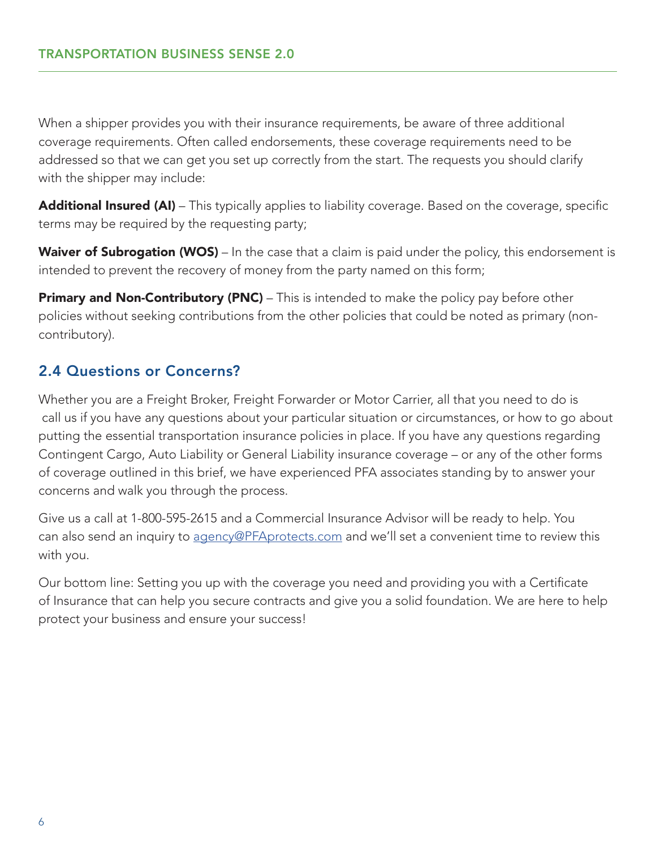When a shipper provides you with their insurance requirements, be aware of three additional coverage requirements. Often called endorsements, these coverage requirements need to be addressed so that we can get you set up correctly from the start. The requests you should clarify with the shipper may include:

Additional Insured (AI) – This typically applies to liability coverage. Based on the coverage, specific terms may be required by the requesting party;

Waiver of Subrogation (WOS) – In the case that a claim is paid under the policy, this endorsement is intended to prevent the recovery of money from the party named on this form;

**Primary and Non-Contributory (PNC)** – This is intended to make the policy pay before other policies without seeking contributions from the other policies that could be noted as primary (noncontributory).

## 2.4 Questions or Concerns?

Whether you are a Freight Broker, Freight Forwarder or Motor Carrier, all that you need to do is call us if you have any questions about your particular situation or circumstances, or how to go about putting the essential transportation insurance policies in place. If you have any questions regarding Contingent Cargo, Auto Liability or General Liability insurance coverage – or any of the other forms of coverage outlined in this brief, we have experienced PFA associates standing by to answer your concerns and walk you through the process.

Give us a call at 1-800-595-2615 and a Commercial Insurance Advisor will be ready to help. You can also send an inquiry to [agency@PFAprotects.com](mailto:agency%40PFAprotects.com?subject=) and we'll set a convenient time to review this with you.

Our bottom line: Setting you up with the coverage you need and providing you with a Certificate of Insurance that can help you secure contracts and give you a solid foundation. We are here to help protect your business and ensure your success!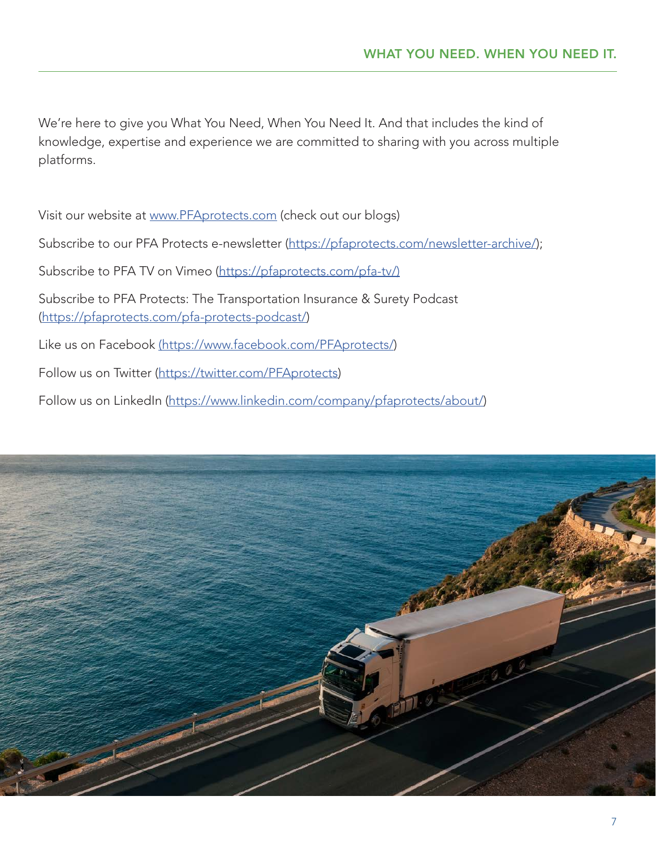We're here to give you What You Need, When You Need It. And that includes the kind of knowledge, expertise and experience we are committed to sharing with you across multiple platforms.

Visit our website at [www.PFAprotects.com](http://www.PFAprotects.com) (check out our blogs)

Subscribe to our PFA Protects e-newsletter (https://pfaprotects.com/newsletter-archive/);

Subscribe to PFA TV on Vimeo [\(https://pfaprotects.com/pfa-tv/\)](https://pfaprotects.com/pfa-tv/))

Subscribe to PFA Protects: The Transportation Insurance & Surety Podcast [\(https://pfaprotects.com/pfa-protects-podcast/](https://pfaprotects.com/pfa-protects-podcast/))

Like us on Facebook [\(https://www.facebook.com/PFAprotects/\)]((https://www.facebook.com/PFAprotects/)

Follow us on Twitter (<https://twitter.com/PFAprotects>)

Follow us on LinkedIn [\(https://www.linkedin.com/company/pfaprotects/about/](https://www.linkedin.com/company/pfaprotects/about/))